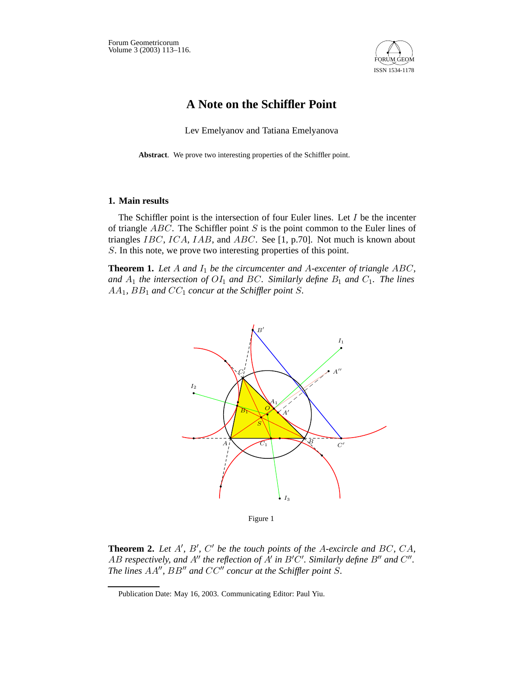

# **A Note on the Schiffler Point**

Lev Emelyanov and Tatiana Emelyanova

**Abstract**. We prove two interesting properties of the Schiffler point.

### **1. Main results**

The Schiffler point is the intersection of four Euler lines. Let  $I$  be the incenter of triangle  $ABC$ . The Schiffler point S is the point common to the Euler lines of triangles IBC, ICA, IAB, and ABC. See [1, p.70]. Not much is known about S. In this note, we prove two interesting properties of this point.

**Theorem 1.** Let  $A$  and  $I_1$  be the circumcenter and  $A$ -excenter of triangle  $ABC$ , and  $A_1$  *the intersection of*  $OI_1$  *and*  $BC$ *. Similarly define*  $B_1$  *and*  $C_1$ *. The lines*  $AA_1$ ,  $BB_1$  and  $CC_1$  concur at the Schiffler point S.



Figure 1

**Theorem 2.** Let A', B', C' be the touch points of the A-excircle and BC, CA, AB respectively, and  $A''$  the reflection of  $A'$  in  $B'C'$ . Similarly define  $B''$  and  $C''$ . *The lines*  $AA''$ ,  $BB''$  and  $CC''$  concur at the Schiffler point S.

Publication Date: May 16, 2003. Communicating Editor: Paul Yiu.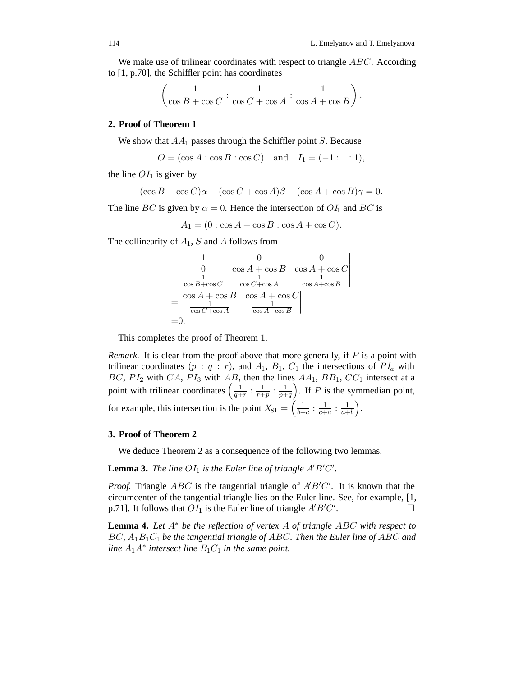.

We make use of trilinear coordinates with respect to triangle  $ABC$ . According to [1, p.70], the Schiffler point has coordinates

$$
\left(\frac{1}{\cos B + \cos C}: \frac{1}{\cos C + \cos A}: \frac{1}{\cos A + \cos B}\right)
$$

#### **2. Proof of Theorem 1**

We show that  $AA_1$  passes through the Schiffler point S. Because

$$
O = (\cos A : \cos B : \cos C)
$$
 and  $I_1 = (-1 : 1 : 1),$ 

the line  $OI<sub>1</sub>$  is given by

$$
(\cos B - \cos C)\alpha - (\cos C + \cos A)\beta + (\cos A + \cos B)\gamma = 0.
$$

The line BC is given by  $\alpha = 0$ . Hence the intersection of  $OI_1$  and BC is

 $A_1 = (0 : \cos A + \cos B : \cos A + \cos C).$ 

The collinearity of  $A_1$ , S and A follows from

$$
\begin{vmatrix}\n1 & 0 & 0 \\
0 & \cos A + \cos B & \cos A + \cos C \\
\frac{1}{\cos B + \cos C} & \frac{1}{\cos C + \cos A} & \frac{1}{\cos A + \cos B} \\
=\begin{vmatrix}\n\cos A + \cos B & \cos A + \cos C \\
\frac{1}{\cos C + \cos A} & \frac{1}{\cos A + \cos B} \\
=0.\n\end{vmatrix}
$$

This completes the proof of Theorem 1.

*Remark.* It is clear from the proof above that more generally, if P is a point with trilinear coordinates  $(p : q : r)$ , and  $A_1$ ,  $B_1$ ,  $C_1$  the intersections of  $PI_a$  with BC,  $PI_2$  with CA,  $PI_3$  with AB, then the lines  $AA_1$ ,  $BB_1$ ,  $CC_1$  intersect at a point with trilinear coordinates  $\left(\frac{1}{q+r}:\frac{1}{r+p}:\frac{1}{p+q}\right)$ . If P is the symmedian point, for example, this intersection is the point  $X_{81} = \left(\frac{1}{b+c} : \frac{1}{c+a} : \frac{1}{a+b}\right)$ .

#### **3. Proof of Theorem 2**

We deduce Theorem 2 as a consequence of the following two lemmas.

**Lemma 3.** The line  $OI_1$  is the Euler line of triangle  $A'B'C'$ .

*Proof.* Triangle  $ABC$  is the tangential triangle of  $\angle A'B'C'$ . It is known that the circumcenter of the tangential triangle lies on the Euler line. See, for example, [1, p.71]. It follows that  $OI_1$  is the Euler line of triangle  $A'B'C'$ . — Первой производите и производите с производите и производите и производите и производите и производите и п<br>В применение и производите и производите и производите и производите и производите и производите и применение

**Lemma 4.** *Let* A∗ *be the reflection of vertex* A *of triangle* ABC *with respect to* BC*,* A1B1C<sup>1</sup> *be the tangential triangle of* ABC*. Then the Euler line of* ABC *and line*  $A_1A^*$  *intersect line*  $B_1C_1$  *in the same point.*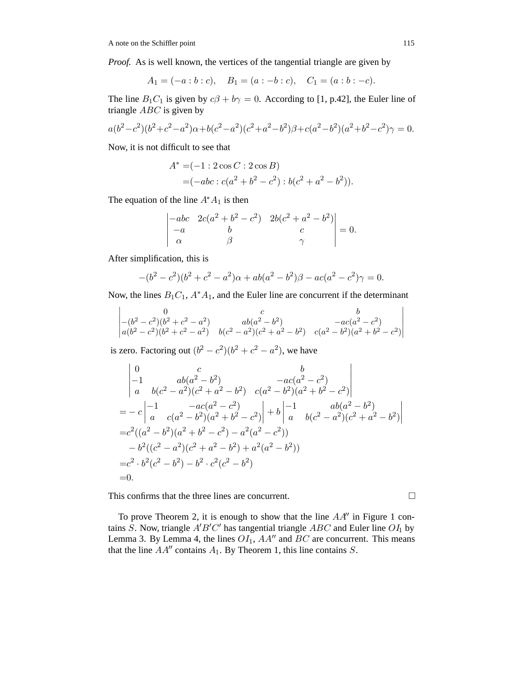*Proof.* As is well known, the vertices of the tangential triangle are given by

$$
A_1 = (-a:b:c), \quad B_1 = (a:-b:c), \quad C_1 = (a:b:-c).
$$

The line  $B_1C_1$  is given by  $c\beta + b\gamma = 0$ . According to [1, p.42], the Euler line of triangle  $ABC$  is given by

$$
a(b^2 - c^2)(b^2 + c^2 - a^2)\alpha + b(c^2 - a^2)(c^2 + a^2 - b^2)\beta + c(a^2 - b^2)(a^2 + b^2 - c^2)\gamma = 0.
$$

Now, it is not difficult to see that

$$
A^* = (-1: 2 \cos C : 2 \cos B)
$$
  
= (-abc : c(a<sup>2</sup> + b<sup>2</sup> - c<sup>2</sup>) : b(c<sup>2</sup> + a<sup>2</sup> - b<sup>2</sup>)).

The equation of the line  $A^*A_1$  is then

$$
\begin{vmatrix} -abc & 2c(a^2 + b^2 - c^2) & 2b(c^2 + a^2 - b^2) \\ -a & b & c \\ \alpha & \beta & \gamma \end{vmatrix} = 0.
$$

After simplification, this is

$$
-(b2 – c2)(b2 + c2 – a2)\alpha + ab(a2 – b2)\beta – ac(a2 – c2)\gamma = 0.
$$

Now, the lines  $B_1C_1$ ,  $A^*A_1$ , and the Euler line are concurrent if the determinant

$$
\begin{vmatrix} 0 & c & b \\ -(b^2 - c^2)(b^2 + c^2 - a^2) & ab(a^2 - b^2) & -ac(a^2 - c^2) \\ a(b^2 - c^2)(b^2 + c^2 - a^2) & b(c^2 - a^2)(c^2 + a^2 - b^2) & c(a^2 - b^2)(a^2 + b^2 - c^2) \end{vmatrix}
$$

is zero. Factoring out  $(b^2 - c^2)(b^2 + c^2 - a^2)$ , we have

$$
\begin{vmatrix}\n0 & c & b \\
-1 & ab(a^2 - b^2) & -ac(a^2 - c^2) \\
a & b(c^2 - a^2)(c^2 + a^2 - b^2) & c(a^2 - b^2)(a^2 + b^2 - c^2)\n\end{vmatrix}
$$
\n
$$
= -c \begin{vmatrix}\n-1 & -ac(a^2 - c^2) \\
a & c(a^2 - b^2)(a^2 + b^2 - c^2)\n\end{vmatrix} + b \begin{vmatrix}\n-1 & ab(a^2 - b^2) \\
a & b(c^2 - a^2)(c^2 + a^2 - b^2)\n\end{vmatrix}
$$
\n
$$
= c^2((a^2 - b^2)(a^2 + b^2 - c^2) - a^2(a^2 - c^2))
$$
\n
$$
-b^2((c^2 - a^2)(c^2 + a^2 - b^2) + a^2(a^2 - b^2))
$$
\n
$$
= c^2 \cdot b^2(c^2 - b^2) - b^2 \cdot c^2(c^2 - b^2)
$$
\n
$$
= 0.
$$

This confirms that the three lines are concurrent.

To prove Theorem 2, it is enough to show that the line  $AA''$  in Figure 1 contains S. Now, triangle  $A'B'C'$  has tangential triangle  $ABC$  and Euler line  $OI_1$  by Lemma 3. By Lemma 4, the lines  $OI_1$ ,  $AA''$  and  $BC$  are concurrent. This means that the line  $AA''$  contains  $A_1$ . By Theorem 1, this line contains S.